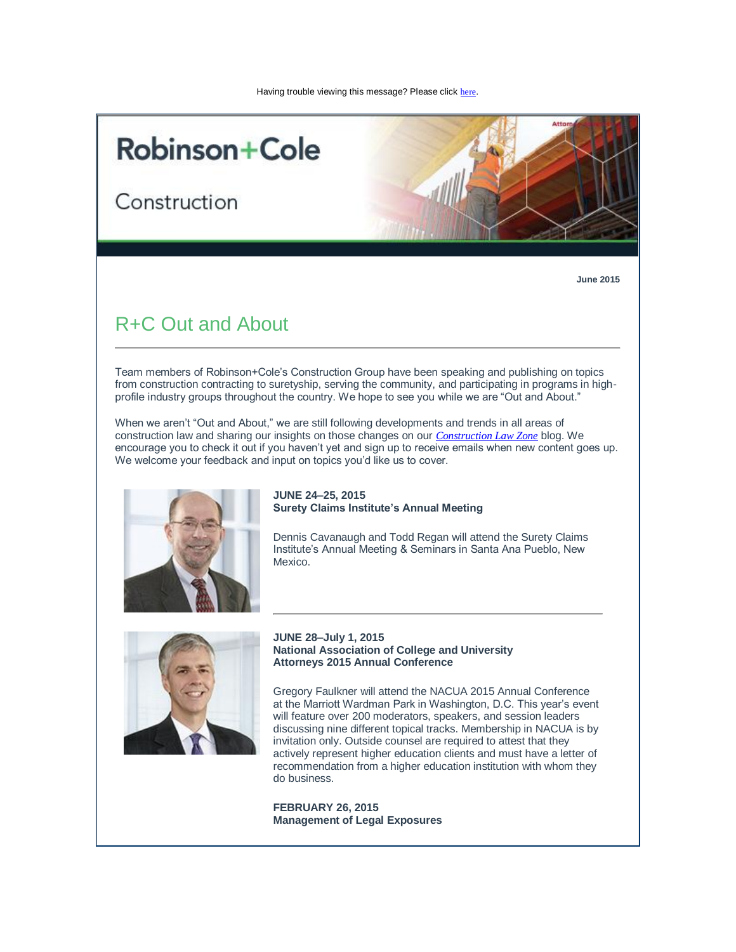# **Robinson+Cole**

Construction



**June 2015**

# R+C Out and About

Team members of Robinson+Cole's Construction Group have been speaking and publishing on topics from construction contracting to suretyship, serving the community, and participating in programs in highprofile industry groups throughout the country. We hope to see you while we are "Out and About."

When we aren't "Out and About," we are still following developments and trends in all areas of construction law and sharing our insights on those changes on our *[Construction Law Zone](http://t2806904.omkt.co/track.aspx?id=402|2AD478|6F10|53E0|ABD|0|D78|1|70155A3A&destination=http%3a%2f%2fwww.constructionlawzone.com%2f&dchk=2DA8A21)* blog. We encourage you to check it out if you haven't yet and sign up to receive emails when new content goes up. We welcome your feedback and input on topics you'd like us to cover.



#### **JUNE 24–25, 2015 Surety Claims Institute's Annual Meeting**

Dennis Cavanaugh and Todd Regan will attend the Surety Claims Institute's Annual Meeting & Seminars in Santa Ana Pueblo, New Mexico.



#### **JUNE 28–July 1, 2015 National Association of College and University Attorneys 2015 Annual Conference**

Gregory Faulkner will attend the NACUA 2015 Annual Conference at the Marriott Wardman Park in Washington, D.C. This year's event will feature over 200 moderators, speakers, and session leaders discussing nine different topical tracks. Membership in NACUA is by invitation only. Outside counsel are required to attest that they actively represent higher education clients and must have a letter of recommendation from a higher education institution with whom they do business.

**FEBRUARY 26, 2015 Management of Legal Exposures**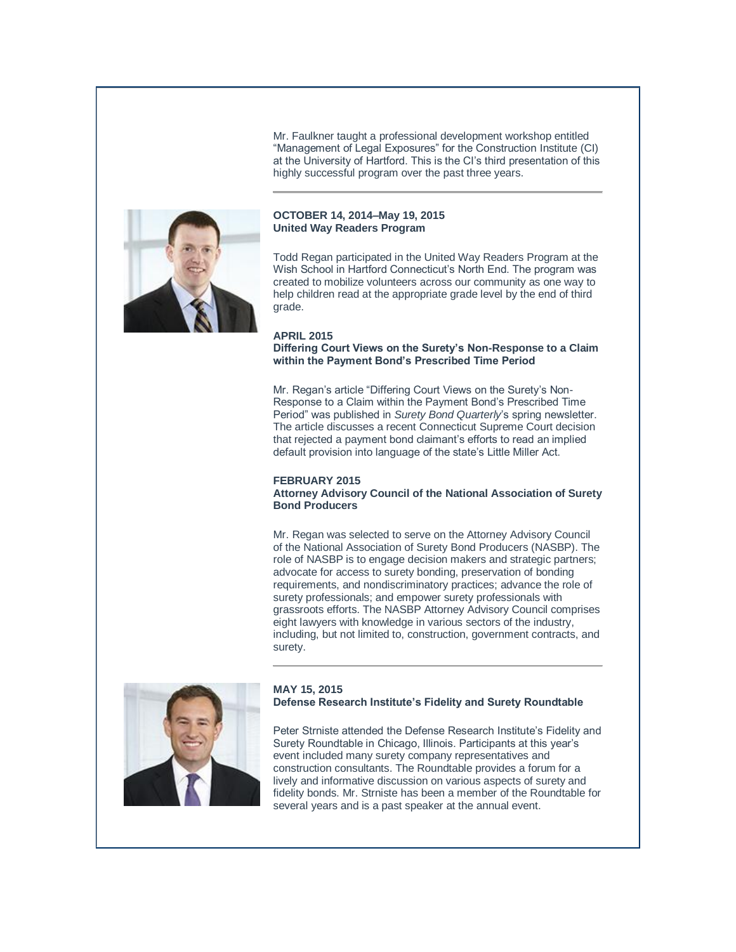Mr. Faulkner taught a professional development workshop entitled "Management of Legal Exposures" for the Construction Institute (CI) at the University of Hartford. This is the CI's third presentation of this highly successful program over the past three years.



#### **OCTOBER 14, 2014–May 19, 2015 United Way Readers Program**

Todd Regan participated in the United Way Readers Program at the Wish School in Hartford Connecticut's North End. The program was created to mobilize volunteers across our community as one way to help children read at the appropriate grade level by the end of third grade.

#### **APRIL 2015**

**Differing Court Views on the Surety's Non-Response to a Claim within the Payment Bond's Prescribed Time Period**

Mr. Regan's article "Differing Court Views on the Surety's Non-Response to a Claim within the Payment Bond's Prescribed Time Period" was published in *Surety Bond Quarterly*'s spring newsletter. The article discusses a recent Connecticut Supreme Court decision that rejected a payment bond claimant's efforts to read an implied default provision into language of the state's Little Miller Act.

#### **FEBRUARY 2015**

**Attorney Advisory Council of the National Association of Surety Bond Producers**

Mr. Regan was selected to serve on the Attorney Advisory Council of the National Association of Surety Bond Producers (NASBP). The role of NASBP is to engage decision makers and strategic partners; advocate for access to surety bonding, preservation of bonding requirements, and nondiscriminatory practices; advance the role of surety professionals; and empower surety professionals with grassroots efforts. The NASBP Attorney Advisory Council comprises eight lawyers with knowledge in various sectors of the industry, including, but not limited to, construction, government contracts, and surety.



#### **MAY 15, 2015 Defense Research Institute's Fidelity and Surety Roundtable**

Peter Strniste attended the Defense Research Institute's Fidelity and Surety Roundtable in Chicago, Illinois. Participants at this year's event included many surety company representatives and construction consultants. The Roundtable provides a forum for a lively and informative discussion on various aspects of surety and fidelity bonds. Mr. Strniste has been a member of the Roundtable for several years and is a past speaker at the annual event.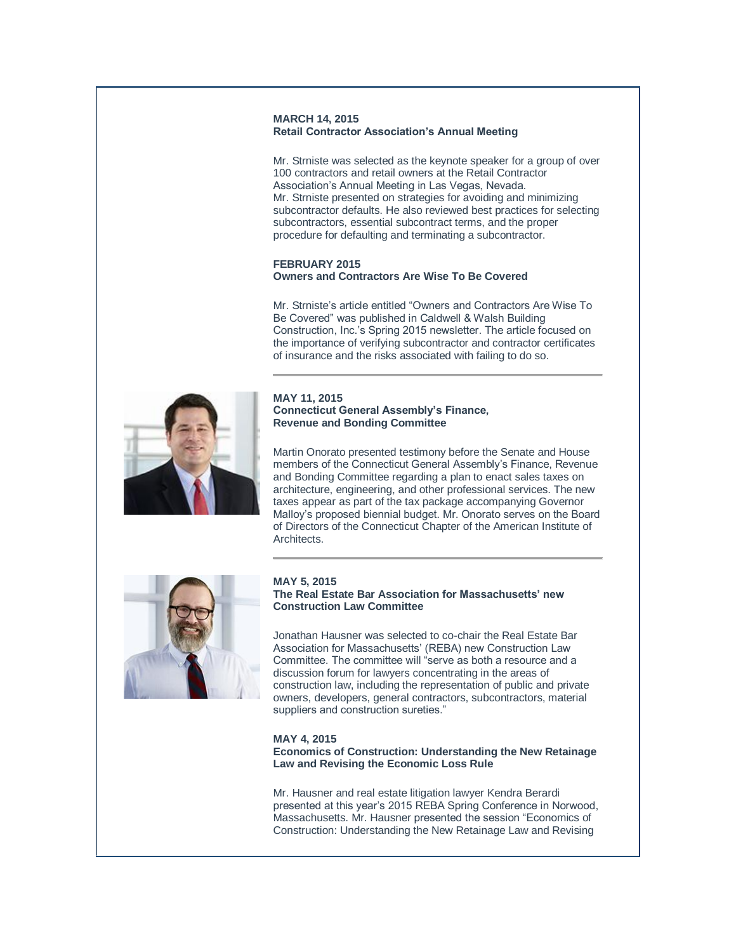#### **MARCH 14, 2015 Retail Contractor Association's Annual Meeting**

Mr. Strniste was selected as the keynote speaker for a group of over 100 contractors and retail owners at the Retail Contractor Association's Annual Meeting in Las Vegas, Nevada. Mr. Strniste presented on strategies for avoiding and minimizing subcontractor defaults. He also reviewed best practices for selecting subcontractors, essential subcontract terms, and the proper procedure for defaulting and terminating a subcontractor.

#### **FEBRUARY 2015 Owners and Contractors Are Wise To Be Covered**

Mr. Strniste's article entitled "Owners and Contractors Are Wise To Be Covered" was published in Caldwell & Walsh Building Construction, Inc.'s Spring 2015 newsletter. The article focused on the importance of verifying subcontractor and contractor certificates of insurance and the risks associated with failing to do so.



#### **MAY 11, 2015 Connecticut General Assembly's Finance, Revenue and Bonding Committee**

Martin Onorato presented testimony before the Senate and House members of the Connecticut General Assembly's Finance, Revenue and Bonding Committee regarding a plan to enact sales taxes on architecture, engineering, and other professional services. The new taxes appear as part of the tax package accompanying Governor Malloy's proposed biennial budget. Mr. Onorato serves on the Board of Directors of the Connecticut Chapter of the American Institute of Architects.



#### **MAY 5, 2015 The Real Estate Bar Association for Massachusetts' new Construction Law Committee**

Jonathan Hausner was selected to co-chair the Real Estate Bar Association for Massachusetts' (REBA) new Construction Law Committee. The committee will "serve as both a resource and a discussion forum for lawyers concentrating in the areas of construction law, including the representation of public and private owners, developers, general contractors, subcontractors, material suppliers and construction sureties."

#### **MAY 4, 2015**

#### **Economics of Construction: Understanding the New Retainage Law and Revising the Economic Loss Rule**

Mr. Hausner and real estate litigation lawyer Kendra Berardi presented at this year's 2015 REBA Spring Conference in Norwood, Massachusetts. Mr. Hausner presented the session "Economics of Construction: Understanding the New Retainage Law and Revising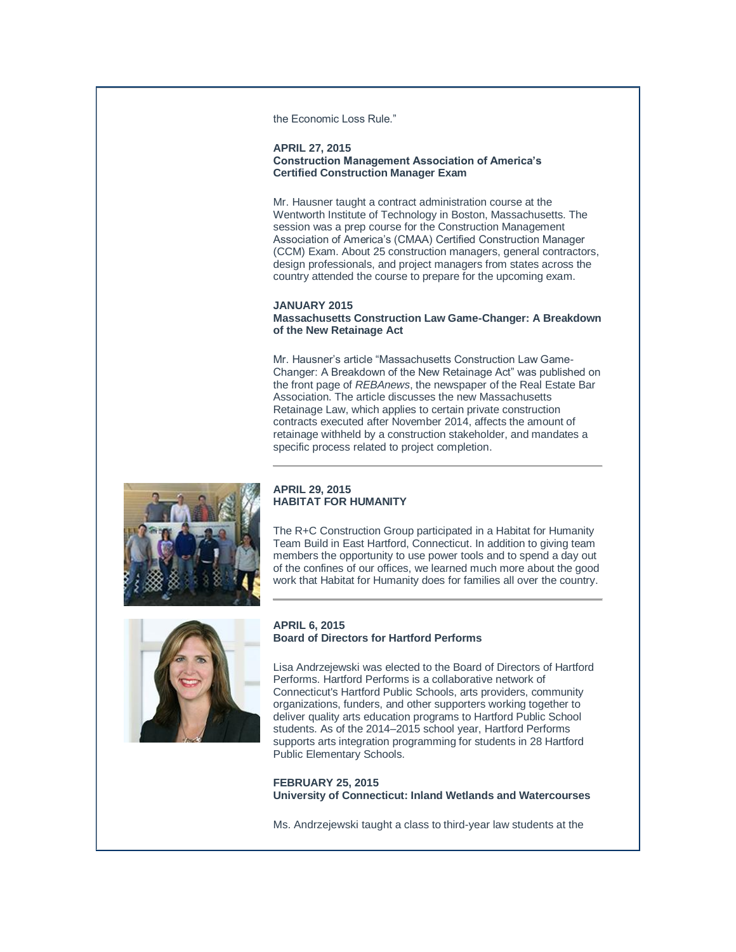the Economic Loss Rule."

#### **APRIL 27, 2015 Construction Management Association of America's Certified Construction Manager Exam**

Mr. Hausner taught a contract administration course at the Wentworth Institute of Technology in Boston, Massachusetts. The session was a prep course for the Construction Management Association of America's (CMAA) Certified Construction Manager (CCM) Exam. About 25 construction managers, general contractors, design professionals, and project managers from states across the country attended the course to prepare for the upcoming exam.

#### **JANUARY 2015 Massachusetts Construction Law Game-Changer: A Breakdown of the New Retainage Act**

Mr. Hausner's article "Massachusetts Construction Law Game-Changer: A Breakdown of the New Retainage Act" was published on the front page of *REBAnews*, the newspaper of the Real Estate Bar Association. The article discusses the new Massachusetts Retainage Law, which applies to certain private construction contracts executed after November 2014, affects the amount of retainage withheld by a construction stakeholder, and mandates a specific process related to project completion.



### **APRIL 29, 2015 HABITAT FOR HUMANITY**

The R+C Construction Group participated in a Habitat for Humanity Team Build in East Hartford, Connecticut. In addition to giving team members the opportunity to use power tools and to spend a day out of the confines of our offices, we learned much more about the good work that Habitat for Humanity does for families all over the country.



## **APRIL 6, 2015 Board of Directors for Hartford Performs**

Lisa Andrzejewski was elected to the Board of Directors of Hartford Performs. Hartford Performs is a collaborative network of Connecticut's Hartford Public Schools, arts providers, community organizations, funders, and other supporters working together to deliver quality arts education programs to Hartford Public School students. As of the 2014–2015 school year, Hartford Performs supports arts integration programming for students in 28 Hartford Public Elementary Schools.

**FEBRUARY 25, 2015 University of Connecticut: Inland Wetlands and Watercourses**

Ms. Andrzejewski taught a class to third-year law students at the